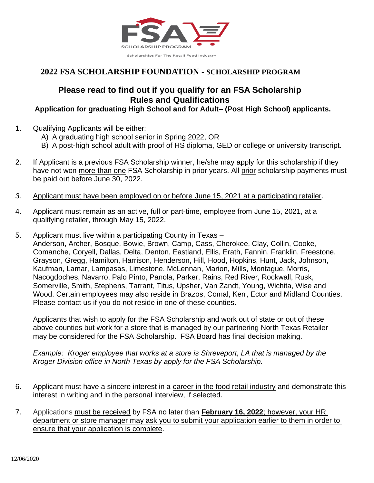

#### **Please read to find out if you qualify for an FSA Scholarship Rules and Qualifications**

#### **Application for graduating High School and for Adult– (Post High School) applicants.**

- 1. Qualifying Applicants will be either:
	- A) A graduating high school senior in Spring 2022, OR
	- B) A post-high school adult with proof of HS diploma, GED or college or university transcript.
- 2. If Applicant is a previous FSA Scholarship winner, he/she may apply for this scholarship if they have not won more than one FSA Scholarship in prior years. All prior scholarship payments must be paid out before June 30, 2022.
- *3.* Applicant must have been employed on or before June 15, 2021 at a participating retailer.
- 4. Applicant must remain as an active, full or part-time, employee from June 15, 2021, at a qualifying retailer, through May 15, 2022.
- 5. Applicant must live within a participating County in Texas Anderson, Archer, Bosque, Bowie, Brown, Camp, Cass, Cherokee, Clay, Collin, Cooke, Comanche, Coryell, Dallas, Delta, Denton, Eastland, Ellis, Erath, Fannin, Franklin, Freestone, Grayson, Gregg, Hamilton, Harrison, Henderson, Hill, Hood, Hopkins, Hunt, Jack, Johnson, Kaufman, Lamar, Lampasas, Limestone, McLennan, Marion, Mills, Montague, Morris, Nacogdoches, Navarro, Palo Pinto, Panola, Parker, Rains, Red River, Rockwall, Rusk, Somerville, Smith, Stephens, Tarrant, Titus, Upsher, Van Zandt, Young, Wichita, Wise and Wood. Certain employees may also reside in Brazos, Comal, Kerr, Ector and Midland Counties. Please contact us if you do not reside in one of these counties.

Applicants that wish to apply for the FSA Scholarship and work out of state or out of these above counties but work for a store that is managed by our partnering North Texas Retailer may be considered for the FSA Scholarship. FSA Board has final decision making.

*Example: Kroger employee that works at a store is Shreveport, LA that is managed by the Kroger Division office in North Texas by apply for the FSA Scholarship.*

- 6. Applicant must have a sincere interest in a career in the food retail industry and demonstrate this interest in writing and in the personal interview, if selected.
- 7. Applications must be received by FSA no later than **February 16, 2022**; however, your HR department or store manager may ask you to submit your application earlier to them in order to ensure that your application is complete.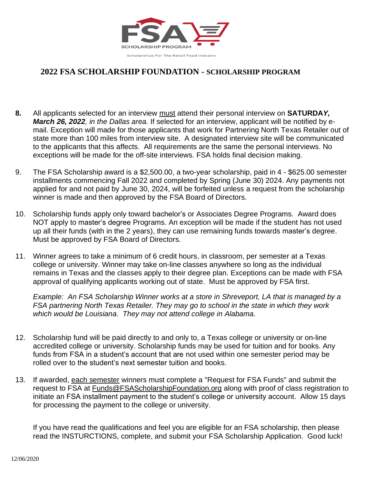

- **8.** All applicants selected for an interview must attend their personal interview on **SATURDA***Y, March 26, 2022, in the Dallas area.* If selected for an interview, applicant will be notified by email. Exception will made for those applicants that work for Partnering North Texas Retailer out of state more than 100 miles from interview site. A designated interview site will be communicated to the applicants that this affects. All requirements are the same the personal interviews. No exceptions will be made for the off-site interviews. FSA holds final decision making.
- 9. The FSA Scholarship award is a \$2,500.00, a two-year scholarship, paid in 4 \$625.00 semester installments commencing Fall 2022 and completed by Spring (June 30) 2024. Any payments not applied for and not paid by June 30, 2024, will be forfeited unless a request from the scholarship winner is made and then approved by the FSA Board of Directors.
- 10. Scholarship funds apply only toward bachelor's or Associates Degree Programs. Award does NOT apply to master's degree Programs. An exception will be made if the student has not used up all their funds (with in the 2 years), they can use remaining funds towards master's degree. Must be approved by FSA Board of Directors.
- 11. Winner agrees to take a minimum of 6 credit hours, in classroom, per semester at a Texas college or university. Winner may take on-line classes anywhere so long as the individual remains in Texas and the classes apply to their degree plan. Exceptions can be made with FSA approval of qualifying applicants working out of state. Must be approved by FSA first.

*Example: An FSA Scholarship Winner works at a store in Shreveport, LA that is managed by a FSA partnering North Texas Retailer. They may go to school in the state in which they work which would be Louisiana. They may not attend college in Alabama.* 

- 12. Scholarship fund will be paid directly to and only to, a Texas college or university or on-line accredited college or university. Scholarship funds may be used for tuition and for books. Any funds from FSA in a student's account that are not used within one semester period may be rolled over to the student's next semester tuition and books.
- 13. If awarded, each semester winners must complete a "Request for FSA Funds" and submit the request to FSA at Funds@FSAScholarshipFoundation.org along with proof of class registration to initiate an FSA installment payment to the student's college or university account. Allow 15 days for processing the payment to the college or university.

If you have read the qualifications and feel you are eligible for an FSA scholarship, then please read the INSTURCTIONS, complete, and submit your FSA Scholarship Application. Good luck!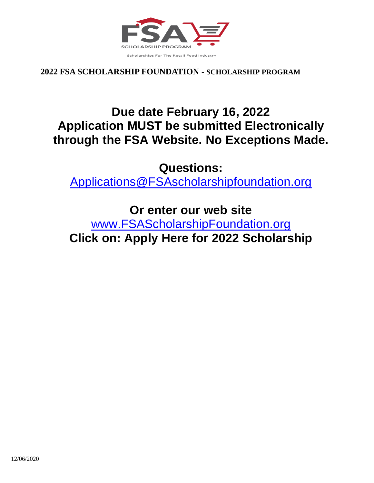

## **Due date February 16, 2022 Application MUST be submitted Electronically through the FSA Website. No Exceptions Made.**

**Questions:**

[Applications@FSAscholarshipfoundation.org](mailto:Applications@FSAscholarshipfoundation.org)

**Or enter our web site**

[www.FSAScholarshipFoundation.org](http://www.fsascholarshipfoundation.org/) **Click on: Apply Here for 2022 Scholarship**